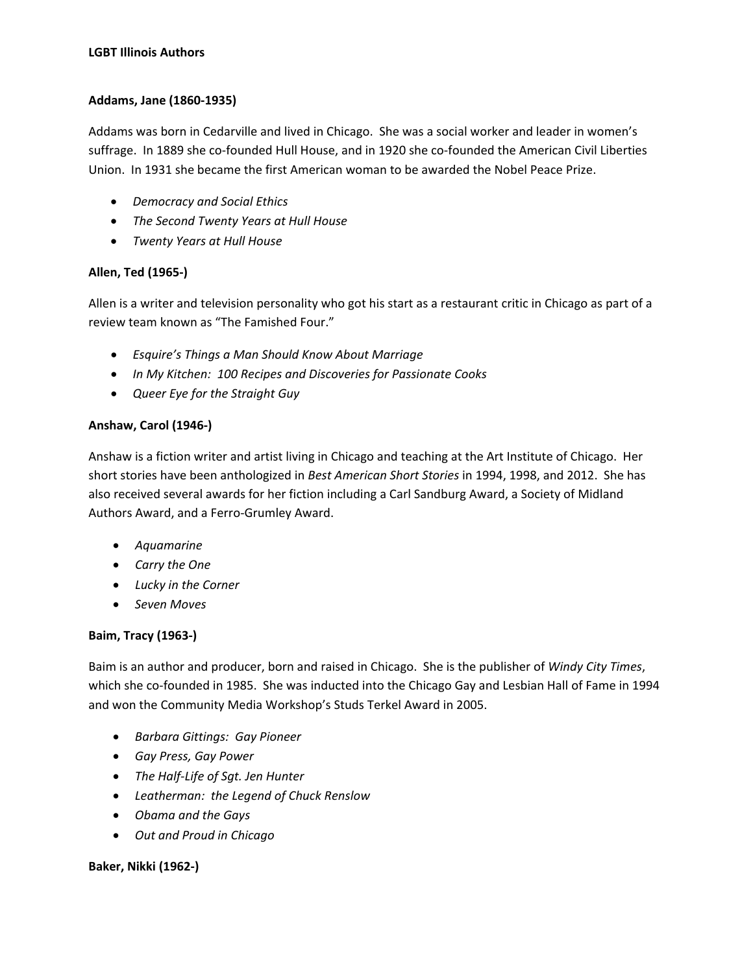#### **Addams, Jane (1860-1935)**

Addams was born in Cedarville and lived in Chicago. She was a social worker and leader in women's suffrage. In 1889 she co-founded Hull House, and in 1920 she co-founded the American Civil Liberties Union. In 1931 she became the first American woman to be awarded the Nobel Peace Prize.

- *Democracy and Social Ethics*
- *The Second Twenty Years at Hull House*
- *Twenty Years at Hull House*

## **Allen, Ted (1965-)**

Allen is a writer and television personality who got his start as a restaurant critic in Chicago as part of a review team known as "The Famished Four."

- *Esquire's Things a Man Should Know About Marriage*
- *In My Kitchen: 100 Recipes and Discoveries for Passionate Cooks*
- *Queer Eye for the Straight Guy*

# **Anshaw, Carol (1946-)**

Anshaw is a fiction writer and artist living in Chicago and teaching at the Art Institute of Chicago. Her short stories have been anthologized in *Best American Short Stories* in 1994, 1998, and 2012. She has also received several awards for her fiction including a Carl Sandburg Award, a Society of Midland Authors Award, and a Ferro-Grumley Award.

- *Aquamarine*
- *Carry the One*
- *Lucky in the Corner*
- *Seven Moves*

## **Baim, Tracy (1963-)**

Baim is an author and producer, born and raised in Chicago. She is the publisher of *Windy City Times*, which she co-founded in 1985. She was inducted into the Chicago Gay and Lesbian Hall of Fame in 1994 and won the Community Media Workshop's Studs Terkel Award in 2005.

- *Barbara Gittings: Gay Pioneer*
- *Gay Press, Gay Power*
- *The Half-Life of Sgt. Jen Hunter*
- *Leatherman: the Legend of Chuck Renslow*
- *Obama and the Gays*
- *Out and Proud in Chicago*

## **Baker, Nikki (1962-)**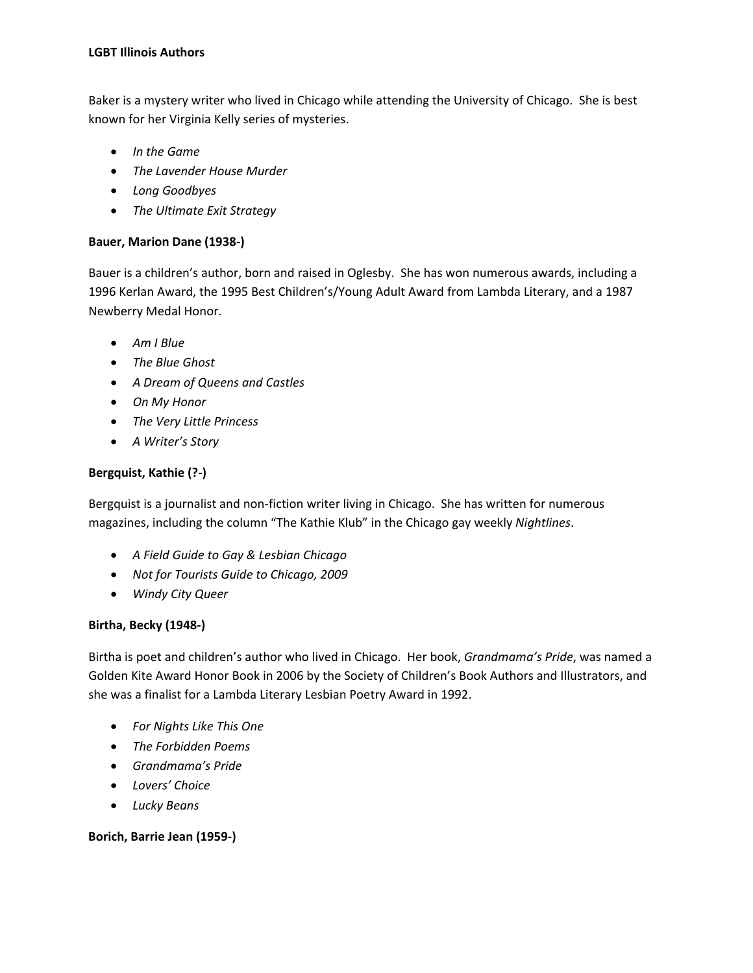Baker is a mystery writer who lived in Chicago while attending the University of Chicago. She is best known for her Virginia Kelly series of mysteries.

- *In the Game*
- *The Lavender House Murder*
- *Long Goodbyes*
- *The Ultimate Exit Strategy*

## **Bauer, Marion Dane (1938-)**

Bauer is a children's author, born and raised in Oglesby. She has won numerous awards, including a 1996 Kerlan Award, the 1995 Best Children's/Young Adult Award from Lambda Literary, and a 1987 Newberry Medal Honor.

- *Am I Blue*
- *The Blue Ghost*
- *A Dream of Queens and Castles*
- *On My Honor*
- *The Very Little Princess*
- *A Writer's Story*

## **Bergquist, Kathie (?-)**

Bergquist is a journalist and non-fiction writer living in Chicago. She has written for numerous magazines, including the column "The Kathie Klub" in the Chicago gay weekly *Nightlines*.

- *A Field Guide to Gay & Lesbian Chicago*
- *Not for Tourists Guide to Chicago, 2009*
- *Windy City Queer*

## **Birtha, Becky (1948-)**

Birtha is poet and children's author who lived in Chicago. Her book, *Grandmama's Pride*, was named a Golden Kite Award Honor Book in 2006 by the Society of Children's Book Authors and Illustrators, and she was a finalist for a Lambda Literary Lesbian Poetry Award in 1992.

- *For Nights Like This One*
- *The Forbidden Poems*
- *Grandmama's Pride*
- *Lovers' Choice*
- *Lucky Beans*

## **Borich, Barrie Jean (1959-)**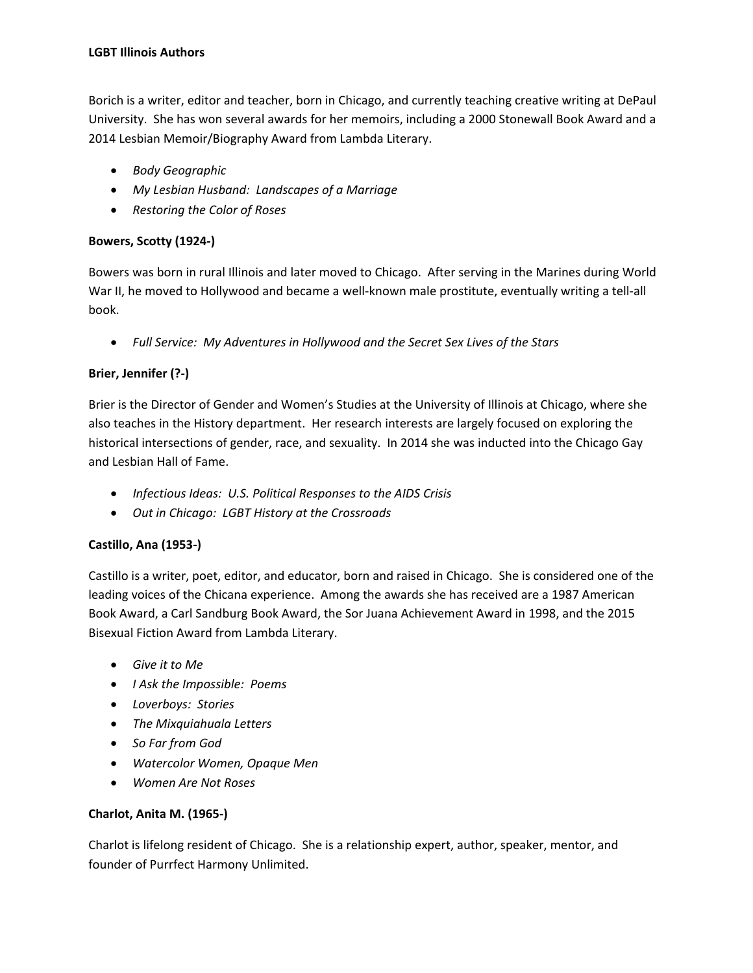Borich is a writer, editor and teacher, born in Chicago, and currently teaching creative writing at DePaul University. She has won several awards for her memoirs, including a 2000 Stonewall Book Award and a 2014 Lesbian Memoir/Biography Award from Lambda Literary.

- *Body Geographic*
- *My Lesbian Husband: Landscapes of a Marriage*
- *Restoring the Color of Roses*

#### **Bowers, Scotty (1924-)**

Bowers was born in rural Illinois and later moved to Chicago. After serving in the Marines during World War II, he moved to Hollywood and became a well-known male prostitute, eventually writing a tell-all book.

• *Full Service: My Adventures in Hollywood and the Secret Sex Lives of the Stars*

## **Brier, Jennifer (?-)**

Brier is the Director of Gender and Women's Studies at the University of Illinois at Chicago, where she also teaches in the History department. Her research interests are largely focused on exploring the historical intersections of gender, race, and sexuality. In 2014 she was inducted into the Chicago Gay and Lesbian Hall of Fame.

- *Infectious Ideas: U.S. Political Responses to the AIDS Crisis*
- *Out in Chicago: LGBT History at the Crossroads*

## **Castillo, Ana (1953-)**

Castillo is a writer, poet, editor, and educator, born and raised in Chicago. She is considered one of the leading voices of the Chicana experience. Among the awards she has received are a 1987 American Book Award, a Carl Sandburg Book Award, the Sor Juana Achievement Award in 1998, and the 2015 Bisexual Fiction Award from Lambda Literary.

- *Give it to Me*
- *I Ask the Impossible: Poems*
- *Loverboys: Stories*
- *The Mixquiahuala Letters*
- *So Far from God*
- *Watercolor Women, Opaque Men*
- *Women Are Not Roses*

## **Charlot, Anita M. (1965-)**

Charlot is lifelong resident of Chicago. She is a relationship expert, author, speaker, mentor, and founder of Purrfect Harmony Unlimited.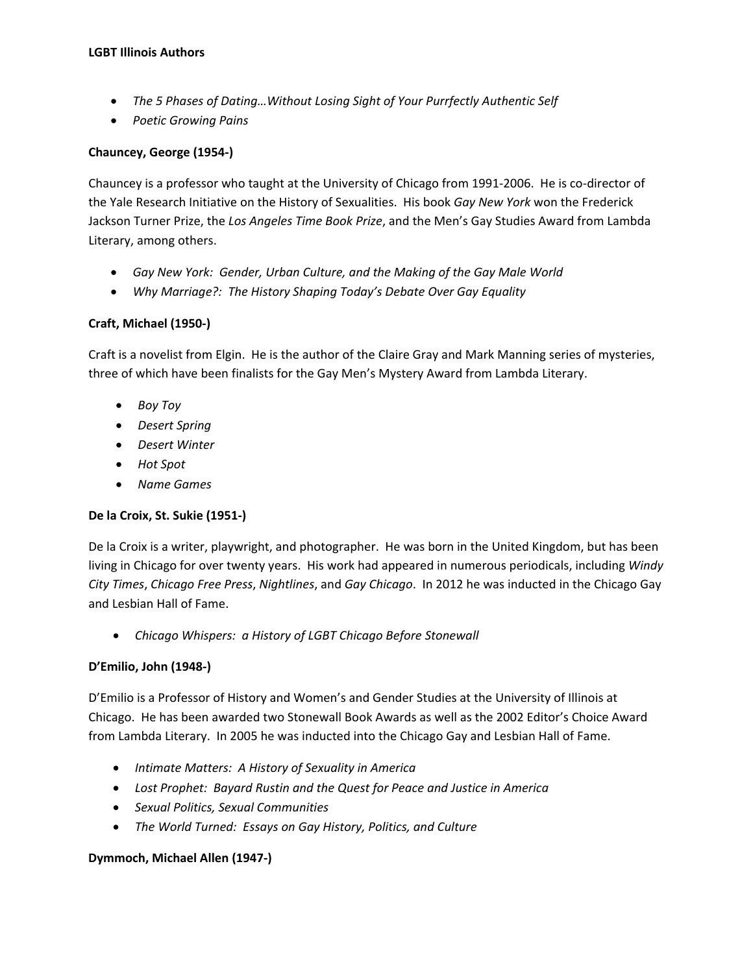- *The 5 Phases of Dating…Without Losing Sight of Your Purrfectly Authentic Self*
- *Poetic Growing Pains*

#### **Chauncey, George (1954-)**

Chauncey is a professor who taught at the University of Chicago from 1991-2006. He is co-director of the Yale Research Initiative on the History of Sexualities. His book *Gay New York* won the Frederick Jackson Turner Prize, the *Los Angeles Time Book Prize*, and the Men's Gay Studies Award from Lambda Literary, among others.

- *Gay New York: Gender, Urban Culture, and the Making of the Gay Male World*
- *Why Marriage?: The History Shaping Today's Debate Over Gay Equality*

## **Craft, Michael (1950-)**

Craft is a novelist from Elgin. He is the author of the Claire Gray and Mark Manning series of mysteries, three of which have been finalists for the Gay Men's Mystery Award from Lambda Literary.

- *Boy Toy*
- *Desert Spring*
- *Desert Winter*
- *Hot Spot*
- *Name Games*

## **De la Croix, St. Sukie (1951-)**

De la Croix is a writer, playwright, and photographer. He was born in the United Kingdom, but has been living in Chicago for over twenty years. His work had appeared in numerous periodicals, including *Windy City Times*, *Chicago Free Press*, *Nightlines*, and *Gay Chicago*. In 2012 he was inducted in the Chicago Gay and Lesbian Hall of Fame.

• *Chicago Whispers: a History of LGBT Chicago Before Stonewall*

# **D'Emilio, John (1948-)**

D'Emilio is a Professor of History and Women's and Gender Studies at the University of Illinois at Chicago. He has been awarded two Stonewall Book Awards as well as the 2002 Editor's Choice Award from Lambda Literary. In 2005 he was inducted into the Chicago Gay and Lesbian Hall of Fame.

- *Intimate Matters: A History of Sexuality in America*
- *Lost Prophet: Bayard Rustin and the Quest for Peace and Justice in America*
- *Sexual Politics, Sexual Communities*
- *The World Turned: Essays on Gay History, Politics, and Culture*

## **Dymmoch, Michael Allen (1947-)**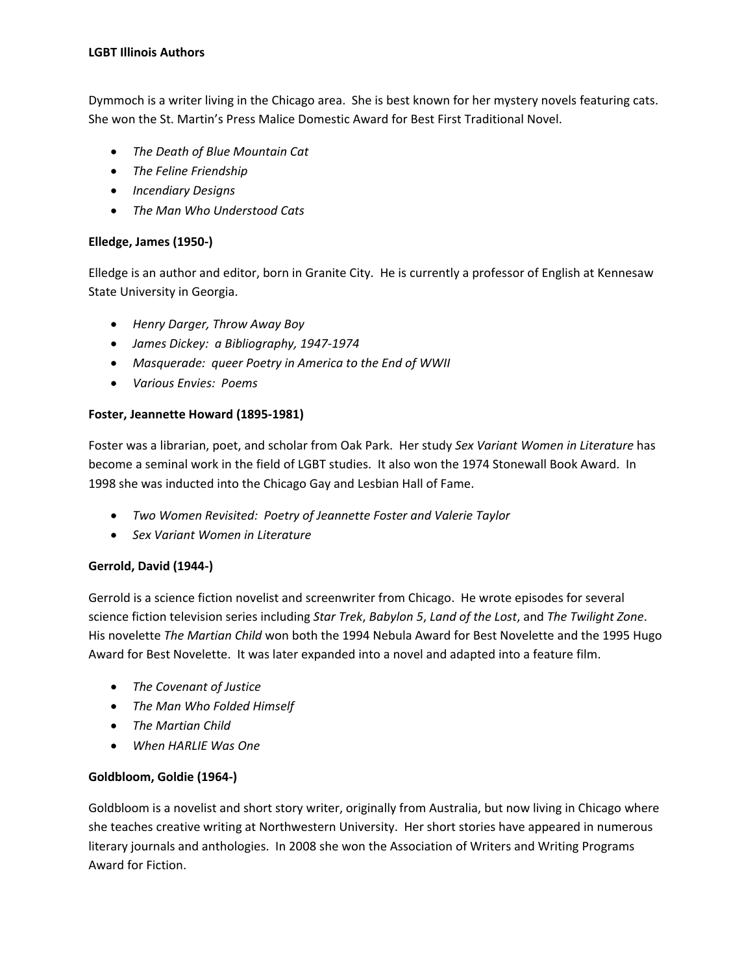Dymmoch is a writer living in the Chicago area. She is best known for her mystery novels featuring cats. She won the St. Martin's Press Malice Domestic Award for Best First Traditional Novel.

- *The Death of Blue Mountain Cat*
- *The Feline Friendship*
- *Incendiary Designs*
- *The Man Who Understood Cats*

#### **Elledge, James (1950-)**

Elledge is an author and editor, born in Granite City. He is currently a professor of English at Kennesaw State University in Georgia.

- *Henry Darger, Throw Away Boy*
- *James Dickey: a Bibliography, 1947-1974*
- *Masquerade: queer Poetry in America to the End of WWII*
- *Various Envies: Poems*

#### **Foster, Jeannette Howard (1895-1981)**

Foster was a librarian, poet, and scholar from Oak Park. Her study *Sex Variant Women in Literature* has become a seminal work in the field of LGBT studies. It also won the 1974 Stonewall Book Award. In 1998 she was inducted into the Chicago Gay and Lesbian Hall of Fame.

- *Two Women Revisited: Poetry of Jeannette Foster and Valerie Taylor*
- *Sex Variant Women in Literature*

## **Gerrold, David (1944-)**

Gerrold is a science fiction novelist and screenwriter from Chicago. He wrote episodes for several science fiction television series including *Star Trek*, *Babylon 5*, *Land of the Lost*, and *The Twilight Zone*. His novelette *The Martian Child* won both the 1994 Nebula Award for Best Novelette and the 1995 Hugo Award for Best Novelette. It was later expanded into a novel and adapted into a feature film.

- *The Covenant of Justice*
- *The Man Who Folded Himself*
- *The Martian Child*
- *When HARLIE Was One*

## **Goldbloom, Goldie (1964-)**

Goldbloom is a novelist and short story writer, originally from Australia, but now living in Chicago where she teaches creative writing at Northwestern University. Her short stories have appeared in numerous literary journals and anthologies. In 2008 she won the Association of Writers and Writing Programs Award for Fiction.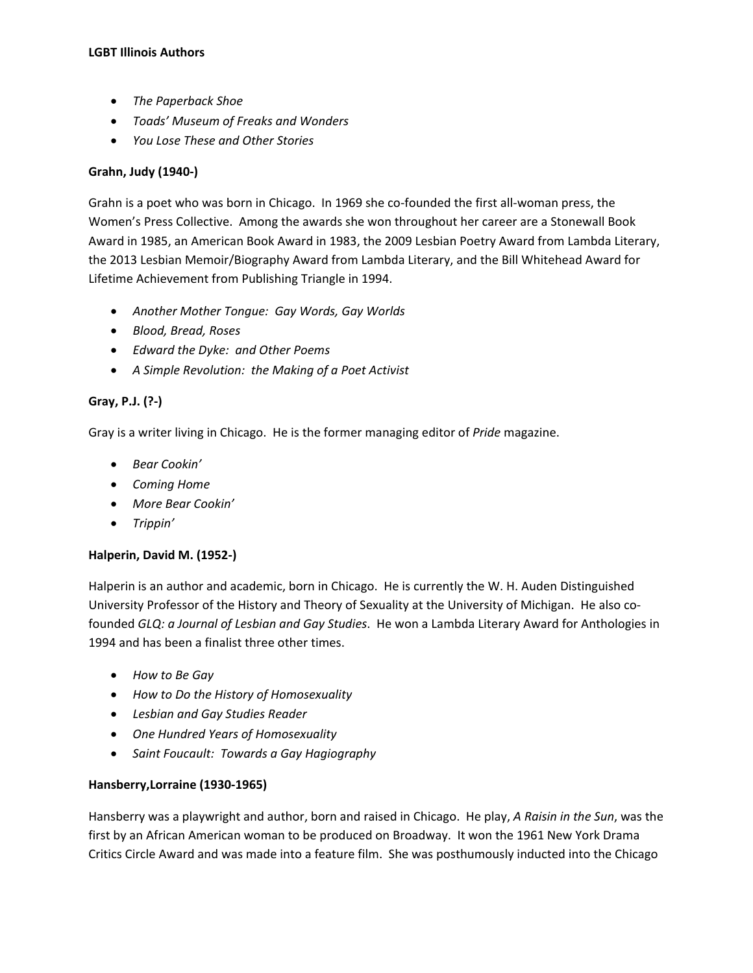- *The Paperback Shoe*
- *Toads' Museum of Freaks and Wonders*
- *You Lose These and Other Stories*

## **Grahn, Judy (1940-)**

Grahn is a poet who was born in Chicago. In 1969 she co-founded the first all-woman press, the Women's Press Collective. Among the awards she won throughout her career are a Stonewall Book Award in 1985, an American Book Award in 1983, the 2009 Lesbian Poetry Award from Lambda Literary, the 2013 Lesbian Memoir/Biography Award from Lambda Literary, and the Bill Whitehead Award for Lifetime Achievement from Publishing Triangle in 1994.

- *Another Mother Tongue: Gay Words, Gay Worlds*
- *Blood, Bread, Roses*
- *Edward the Dyke: and Other Poems*
- *A Simple Revolution: the Making of a Poet Activist*

## **Gray, P.J. (?-)**

Gray is a writer living in Chicago. He is the former managing editor of *Pride* magazine.

- *Bear Cookin'*
- *Coming Home*
- *More Bear Cookin'*
- *Trippin'*

## **Halperin, David M. (1952-)**

Halperin is an author and academic, born in Chicago. He is currently the W. H. Auden Distinguished University Professor of the History and Theory of Sexuality at the University of Michigan. He also cofounded *GLQ: a Journal of Lesbian and Gay Studies*. He won a Lambda Literary Award for Anthologies in 1994 and has been a finalist three other times.

- *How to Be Gay*
- *How to Do the History of Homosexuality*
- *Lesbian and Gay Studies Reader*
- *One Hundred Years of Homosexuality*
- *Saint Foucault: Towards a Gay Hagiography*

## **Hansberry,Lorraine (1930-1965)**

Hansberry was a playwright and author, born and raised in Chicago. He play, *A Raisin in the Sun*, was the first by an African American woman to be produced on Broadway. It won the 1961 New York Drama Critics Circle Award and was made into a feature film. She was posthumously inducted into the Chicago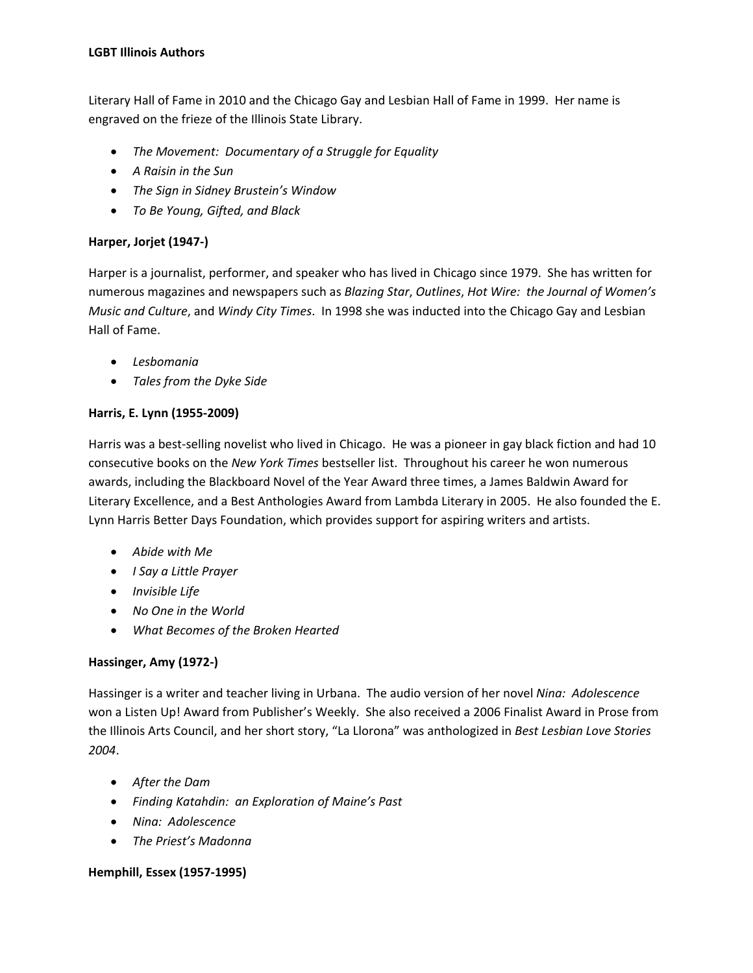Literary Hall of Fame in 2010 and the Chicago Gay and Lesbian Hall of Fame in 1999. Her name is engraved on the frieze of the Illinois State Library.

- *The Movement: Documentary of a Struggle for Equality*
- *A Raisin in the Sun*
- *The Sign in Sidney Brustein's Window*
- *To Be Young, Gifted, and Black*

## **Harper, Jorjet (1947-)**

Harper is a journalist, performer, and speaker who has lived in Chicago since 1979. She has written for numerous magazines and newspapers such as *Blazing Star*, *Outlines*, *Hot Wire: the Journal of Women's Music and Culture*, and *Windy City Times*. In 1998 she was inducted into the Chicago Gay and Lesbian Hall of Fame.

- *Lesbomania*
- *Tales from the Dyke Side*

#### **Harris, E. Lynn (1955-2009)**

Harris was a best-selling novelist who lived in Chicago. He was a pioneer in gay black fiction and had 10 consecutive books on the *New York Times* bestseller list. Throughout his career he won numerous awards, including the Blackboard Novel of the Year Award three times, a James Baldwin Award for Literary Excellence, and a Best Anthologies Award from Lambda Literary in 2005. He also founded the E. Lynn Harris Better Days Foundation, which provides support for aspiring writers and artists.

- *Abide with Me*
- *I Say a Little Prayer*
- *Invisible Life*
- *No One in the World*
- *What Becomes of the Broken Hearted*

## **Hassinger, Amy (1972-)**

Hassinger is a writer and teacher living in Urbana. The audio version of her novel *Nina: Adolescence* won a Listen Up! Award from Publisher's Weekly. She also received a 2006 Finalist Award in Prose from the Illinois Arts Council, and her short story, "La Llorona" was anthologized in *Best Lesbian Love Stories 2004*.

- *After the Dam*
- *Finding Katahdin: an Exploration of Maine's Past*
- *Nina: Adolescence*
- *The Priest's Madonna*

## **Hemphill, Essex (1957-1995)**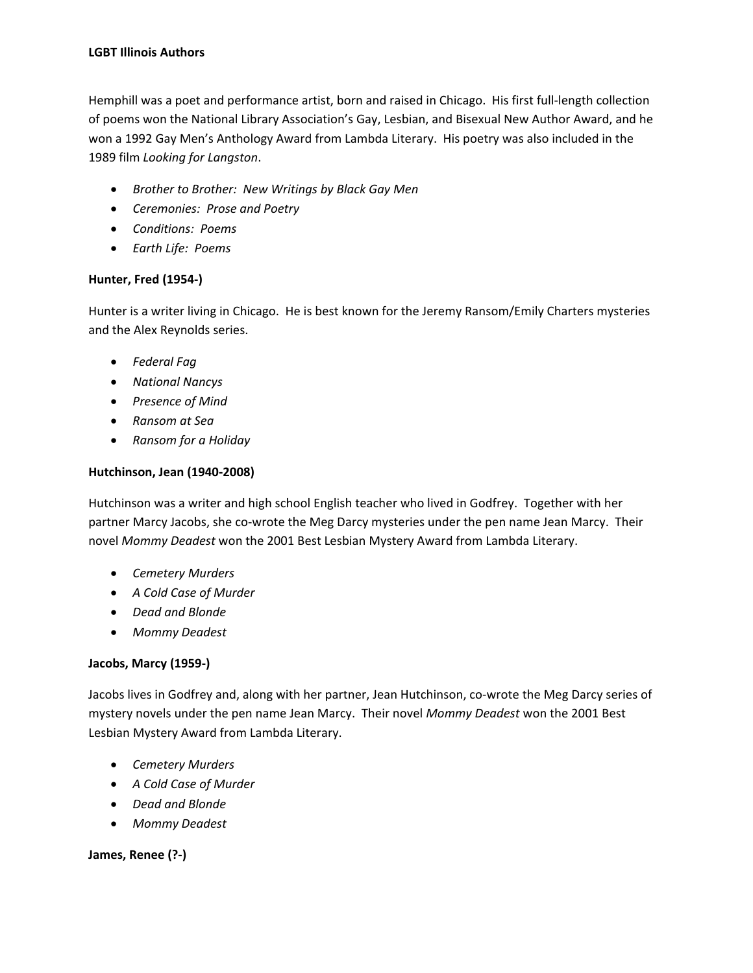Hemphill was a poet and performance artist, born and raised in Chicago. His first full-length collection of poems won the National Library Association's Gay, Lesbian, and Bisexual New Author Award, and he won a 1992 Gay Men's Anthology Award from Lambda Literary. His poetry was also included in the 1989 film *Looking for Langston*.

- *Brother to Brother: New Writings by Black Gay Men*
- *Ceremonies: Prose and Poetry*
- *Conditions: Poems*
- *Earth Life: Poems*

## **Hunter, Fred (1954-)**

Hunter is a writer living in Chicago. He is best known for the Jeremy Ransom/Emily Charters mysteries and the Alex Reynolds series.

- *Federal Fag*
- *National Nancys*
- *Presence of Mind*
- *Ransom at Sea*
- *Ransom for a Holiday*

## **Hutchinson, Jean (1940-2008)**

Hutchinson was a writer and high school English teacher who lived in Godfrey. Together with her partner Marcy Jacobs, she co-wrote the Meg Darcy mysteries under the pen name Jean Marcy. Their novel *Mommy Deadest* won the 2001 Best Lesbian Mystery Award from Lambda Literary.

- *Cemetery Murders*
- *A Cold Case of Murder*
- *Dead and Blonde*
- *Mommy Deadest*

## **Jacobs, Marcy (1959-)**

Jacobs lives in Godfrey and, along with her partner, Jean Hutchinson, co-wrote the Meg Darcy series of mystery novels under the pen name Jean Marcy. Their novel *Mommy Deadest* won the 2001 Best Lesbian Mystery Award from Lambda Literary.

- *Cemetery Murders*
- *A Cold Case of Murder*
- *Dead and Blonde*
- *Mommy Deadest*

## **James, Renee (?-)**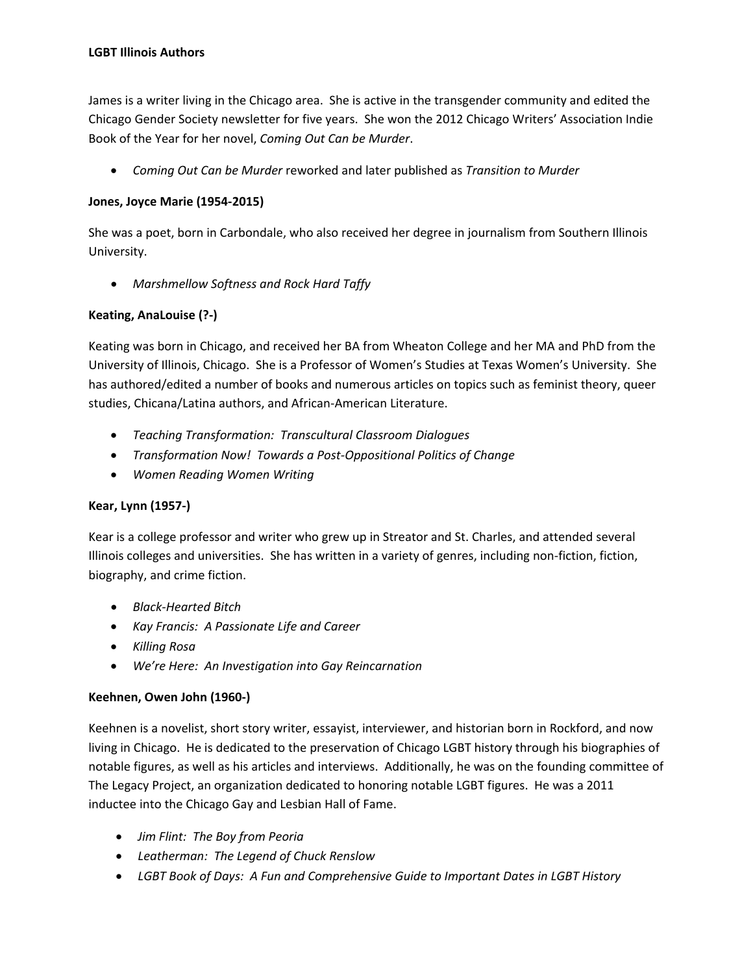James is a writer living in the Chicago area. She is active in the transgender community and edited the Chicago Gender Society newsletter for five years. She won the 2012 Chicago Writers' Association Indie Book of the Year for her novel, *Coming Out Can be Murder*.

• *Coming Out Can be Murder* reworked and later published as *Transition to Murder*

## **Jones, Joyce Marie (1954-2015)**

She was a poet, born in Carbondale, who also received her degree in journalism from Southern Illinois University.

• *Marshmellow Softness and Rock Hard Taffy*

# **Keating, AnaLouise (?-)**

Keating was born in Chicago, and received her BA from Wheaton College and her MA and PhD from the University of Illinois, Chicago. She is a Professor of Women's Studies at Texas Women's University. She has authored/edited a number of books and numerous articles on topics such as feminist theory, queer studies, Chicana/Latina authors, and African-American Literature.

- *Teaching Transformation: Transcultural Classroom Dialogues*
- *Transformation Now! Towards a Post-Oppositional Politics of Change*
- *Women Reading Women Writing*

## **Kear, Lynn (1957-)**

Kear is a college professor and writer who grew up in Streator and St. Charles, and attended several Illinois colleges and universities. She has written in a variety of genres, including non-fiction, fiction, biography, and crime fiction.

- *Black-Hearted Bitch*
- *Kay Francis: A Passionate Life and Career*
- *Killing Rosa*
- *We're Here: An Investigation into Gay Reincarnation*

## **Keehnen, Owen John (1960-)**

Keehnen is a novelist, short story writer, essayist, interviewer, and historian born in Rockford, and now living in Chicago. He is dedicated to the preservation of Chicago LGBT history through his biographies of notable figures, as well as his articles and interviews. Additionally, he was on the founding committee of The Legacy Project, an organization dedicated to honoring notable LGBT figures. He was a 2011 inductee into the Chicago Gay and Lesbian Hall of Fame.

- *Jim Flint: The Boy from Peoria*
- *Leatherman: The Legend of Chuck Renslow*
- *LGBT Book of Days: A Fun and Comprehensive Guide to Important Dates in LGBT History*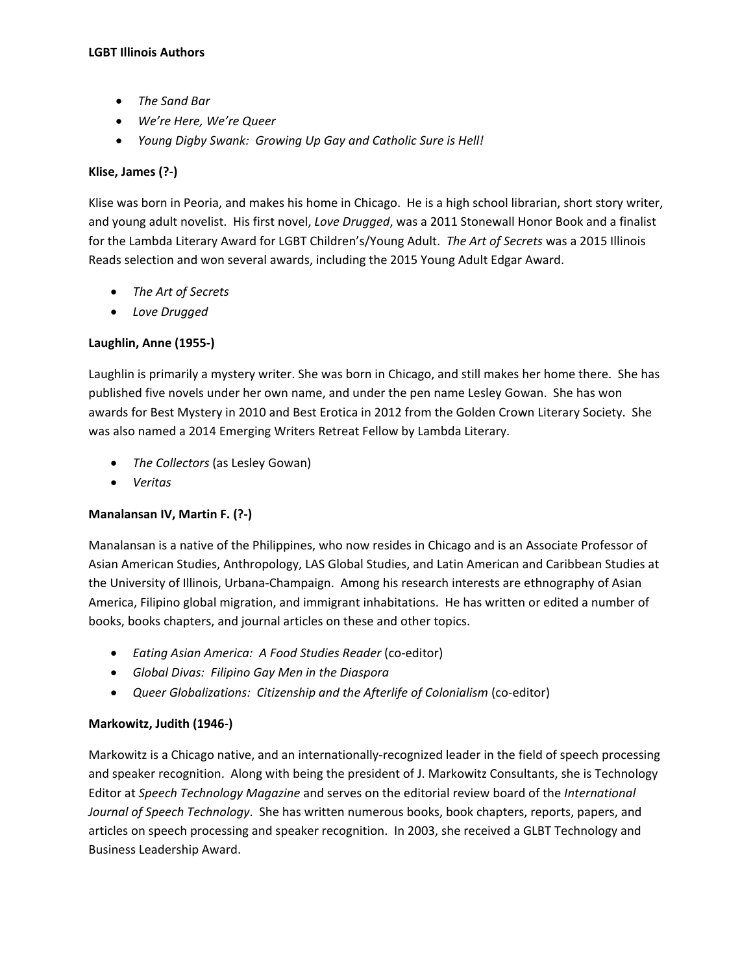- *The Sand Bar*
- *We're Here, We're Queer*
- *Young Digby Swank: Growing Up Gay and Catholic Sure is Hell!*

#### **Klise, James (?-)**

Klise was born in Peoria, and makes his home in Chicago. He is a high school librarian, short story writer, and young adult novelist. His first novel, *Love Drugged*, was a 2011 Stonewall Honor Book and a finalist for the Lambda Literary Award for LGBT Children's/Young Adult. *The Art of Secrets* was a 2015 Illinois Reads selection and won several awards, including the 2015 Young Adult Edgar Award.

- *The Art of Secrets*
- *Love Drugged*

## **Laughlin, Anne (1955-)**

Laughlin is primarily a mystery writer. She was born in Chicago, and still makes her home there. She has published five novels under her own name, and under the pen name Lesley Gowan. She has won awards for Best Mystery in 2010 and Best Erotica in 2012 from the Golden Crown Literary Society. She was also named a 2014 Emerging Writers Retreat Fellow by Lambda Literary.

- *The Collectors* (as Lesley Gowan)
- *Veritas*

## **Manalansan IV, Martin F. (?-)**

Manalansan is a native of the Philippines, who now resides in Chicago and is an Associate Professor of Asian American Studies, Anthropology, LAS Global Studies, and Latin American and Caribbean Studies at the University of Illinois, Urbana-Champaign. Among his research interests are ethnography of Asian America, Filipino global migration, and immigrant inhabitations. He has written or edited a number of books, books chapters, and journal articles on these and other topics.

- *Eating Asian America: A Food Studies Reader* (co-editor)
- *Global Divas: Filipino Gay Men in the Diaspora*
- *Queer Globalizations: Citizenship and the Afterlife of Colonialism* (co-editor)

## **Markowitz, Judith (1946-)**

Markowitz is a Chicago native, and an internationally-recognized leader in the field of speech processing and speaker recognition. Along with being the president of J. Markowitz Consultants, she is Technology Editor at *Speech Technology Magazine* and serves on the editorial review board of the *International Journal of Speech Technology*. She has written numerous books, book chapters, reports, papers, and articles on speech processing and speaker recognition. In 2003, she received a GLBT Technology and Business Leadership Award.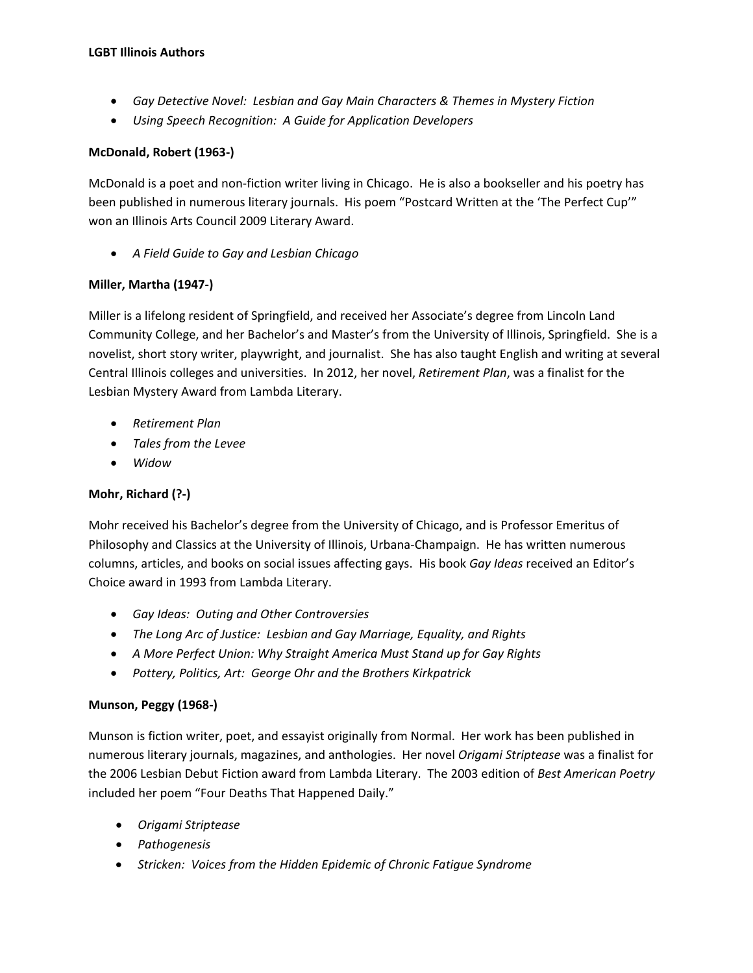- *Gay Detective Novel: Lesbian and Gay Main Characters & Themes in Mystery Fiction*
- *Using Speech Recognition: A Guide for Application Developers*

## **McDonald, Robert (1963-)**

McDonald is a poet and non-fiction writer living in Chicago. He is also a bookseller and his poetry has been published in numerous literary journals. His poem "Postcard Written at the 'The Perfect Cup'" won an Illinois Arts Council 2009 Literary Award.

• *A Field Guide to Gay and Lesbian Chicago*

## **Miller, Martha (1947-)**

Miller is a lifelong resident of Springfield, and received her Associate's degree from Lincoln Land Community College, and her Bachelor's and Master's from the University of Illinois, Springfield. She is a novelist, short story writer, playwright, and journalist. She has also taught English and writing at several Central Illinois colleges and universities. In 2012, her novel, *Retirement Plan*, was a finalist for the Lesbian Mystery Award from Lambda Literary.

- *Retirement Plan*
- *Tales from the Levee*
- *Widow*

## **Mohr, Richard (?-)**

Mohr received his Bachelor's degree from the University of Chicago, and is Professor Emeritus of Philosophy and Classics at the University of Illinois, Urbana-Champaign. He has written numerous columns, articles, and books on social issues affecting gays. His book *Gay Ideas* received an Editor's Choice award in 1993 from Lambda Literary.

- *Gay Ideas: Outing and Other Controversies*
- *The Long Arc of Justice: Lesbian and Gay Marriage, Equality, and Rights*
- *A More Perfect Union: Why Straight America Must Stand up for Gay Rights*
- *Pottery, Politics, Art: George Ohr and the Brothers Kirkpatrick*

## **Munson, Peggy (1968-)**

Munson is fiction writer, poet, and essayist originally from Normal. Her work has been published in numerous literary journals, magazines, and anthologies. Her novel *Origami Striptease* was a finalist for the 2006 Lesbian Debut Fiction award from Lambda Literary. The 2003 edition of *Best American Poetry* included her poem "Four Deaths That Happened Daily."

- *Origami Striptease*
- *Pathogenesis*
- *Stricken: Voices from the Hidden Epidemic of Chronic Fatigue Syndrome*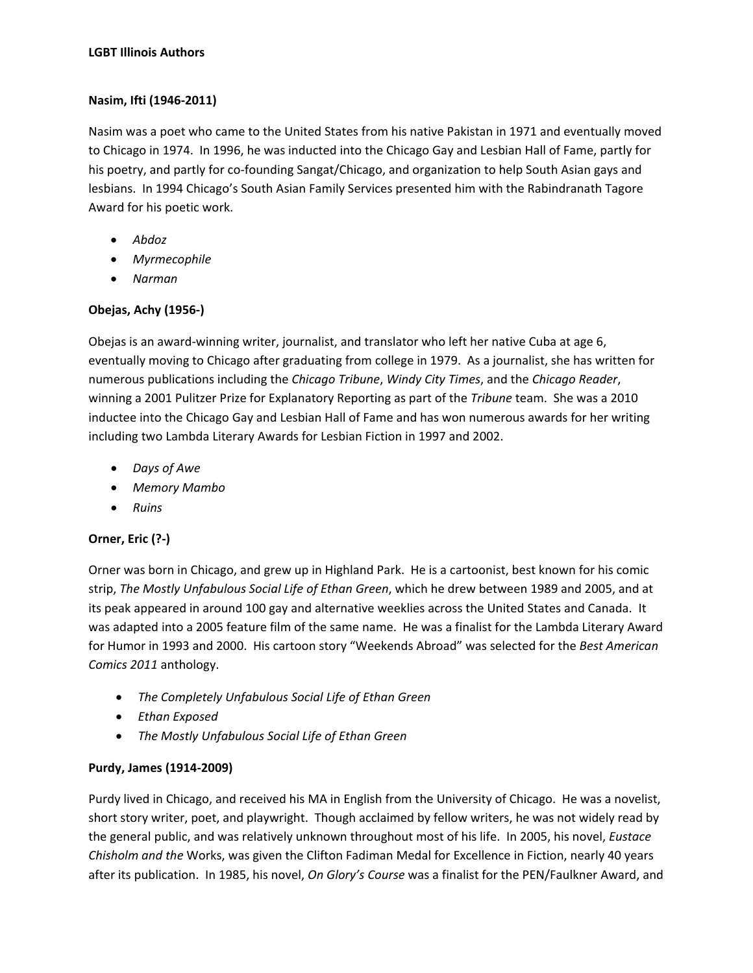## **Nasim, Ifti (1946-2011)**

Nasim was a poet who came to the United States from his native Pakistan in 1971 and eventually moved to Chicago in 1974. In 1996, he was inducted into the Chicago Gay and Lesbian Hall of Fame, partly for his poetry, and partly for co-founding Sangat/Chicago, and organization to help South Asian gays and lesbians. In 1994 Chicago's South Asian Family Services presented him with the Rabindranath Tagore Award for his poetic work.

- *Abdoz*
- *Myrmecophile*
- *Narman*

# **Obejas, Achy (1956-)**

Obejas is an award-winning writer, journalist, and translator who left her native Cuba at age 6, eventually moving to Chicago after graduating from college in 1979. As a journalist, she has written for numerous publications including the *Chicago Tribune*, *Windy City Times*, and the *Chicago Reader*, winning a 2001 Pulitzer Prize for Explanatory Reporting as part of the *Tribune* team. She was a 2010 inductee into the Chicago Gay and Lesbian Hall of Fame and has won numerous awards for her writing including two Lambda Literary Awards for Lesbian Fiction in 1997 and 2002.

- *Days of Awe*
- *Memory Mambo*
- *Ruins*

# **Orner, Eric (?-)**

Orner was born in Chicago, and grew up in Highland Park. He is a cartoonist, best known for his comic strip, *The Mostly Unfabulous Social Life of Ethan Green*, which he drew between 1989 and 2005, and at its peak appeared in around 100 gay and alternative weeklies across the United States and Canada. It was adapted into a 2005 feature film of the same name. He was a finalist for the Lambda Literary Award for Humor in 1993 and 2000. His cartoon story "Weekends Abroad" was selected for the *Best American Comics 2011* anthology.

- *The Completely Unfabulous Social Life of Ethan Green*
- *Ethan Exposed*
- *The Mostly Unfabulous Social Life of Ethan Green*

# **Purdy, James (1914-2009)**

Purdy lived in Chicago, and received his MA in English from the University of Chicago. He was a novelist, short story writer, poet, and playwright. Though acclaimed by fellow writers, he was not widely read by the general public, and was relatively unknown throughout most of his life. In 2005, his novel, *Eustace Chisholm and the* Works, was given the Clifton Fadiman Medal for Excellence in Fiction, nearly 40 years after its publication. In 1985, his novel, *On Glory's Course* was a finalist for the PEN/Faulkner Award, and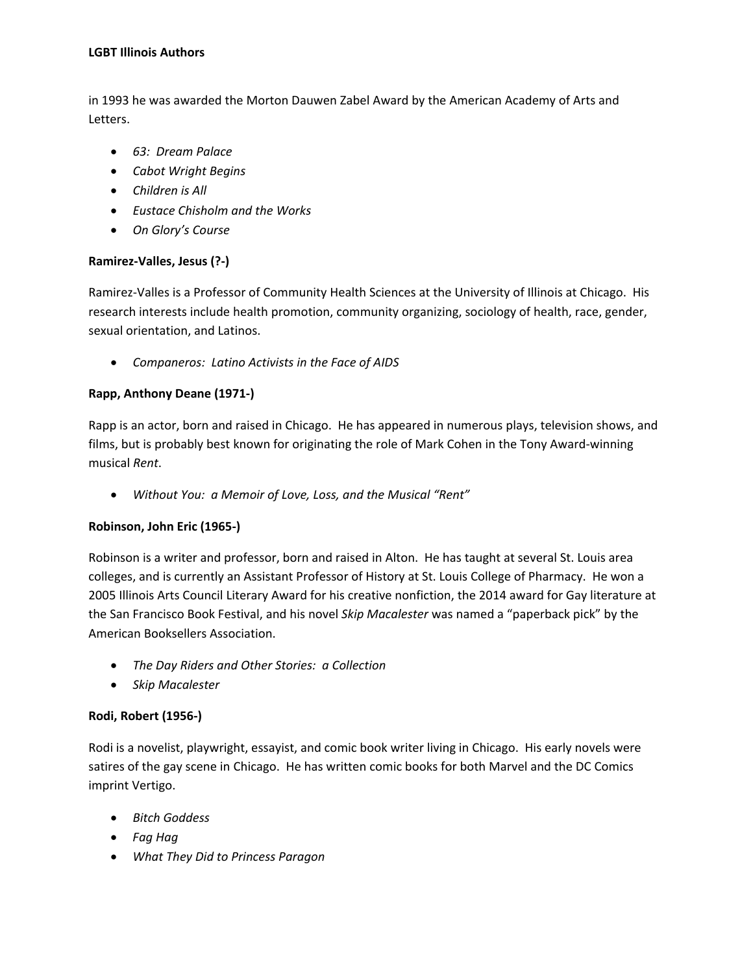in 1993 he was awarded the Morton Dauwen Zabel Award by the American Academy of Arts and Letters.

- *63: Dream Palace*
- *Cabot Wright Begins*
- *Children is All*
- *Eustace Chisholm and the Works*
- *On Glory's Course*

## **Ramirez-Valles, Jesus (?-)**

Ramirez-Valles is a Professor of Community Health Sciences at the University of Illinois at Chicago. His research interests include health promotion, community organizing, sociology of health, race, gender, sexual orientation, and Latinos.

• *Companeros: Latino Activists in the Face of AIDS*

## **Rapp, Anthony Deane (1971-)**

Rapp is an actor, born and raised in Chicago. He has appeared in numerous plays, television shows, and films, but is probably best known for originating the role of Mark Cohen in the Tony Award-winning musical *Rent*.

• *Without You: a Memoir of Love, Loss, and the Musical "Rent"*

## **Robinson, John Eric (1965-)**

Robinson is a writer and professor, born and raised in Alton. He has taught at several St. Louis area colleges, and is currently an Assistant Professor of History at St. Louis College of Pharmacy. He won a 2005 Illinois Arts Council Literary Award for his creative nonfiction, the 2014 award for Gay literature at the San Francisco Book Festival, and his novel *Skip Macalester* was named a "paperback pick" by the American Booksellers Association.

- *The Day Riders and Other Stories: a Collection*
- *Skip Macalester*

## **Rodi, Robert (1956-)**

Rodi is a novelist, playwright, essayist, and comic book writer living in Chicago. His early novels were satires of the gay scene in Chicago. He has written comic books for both Marvel and the DC Comics imprint Vertigo.

- *Bitch Goddess*
- *Fag Hag*
- *What They Did to Princess Paragon*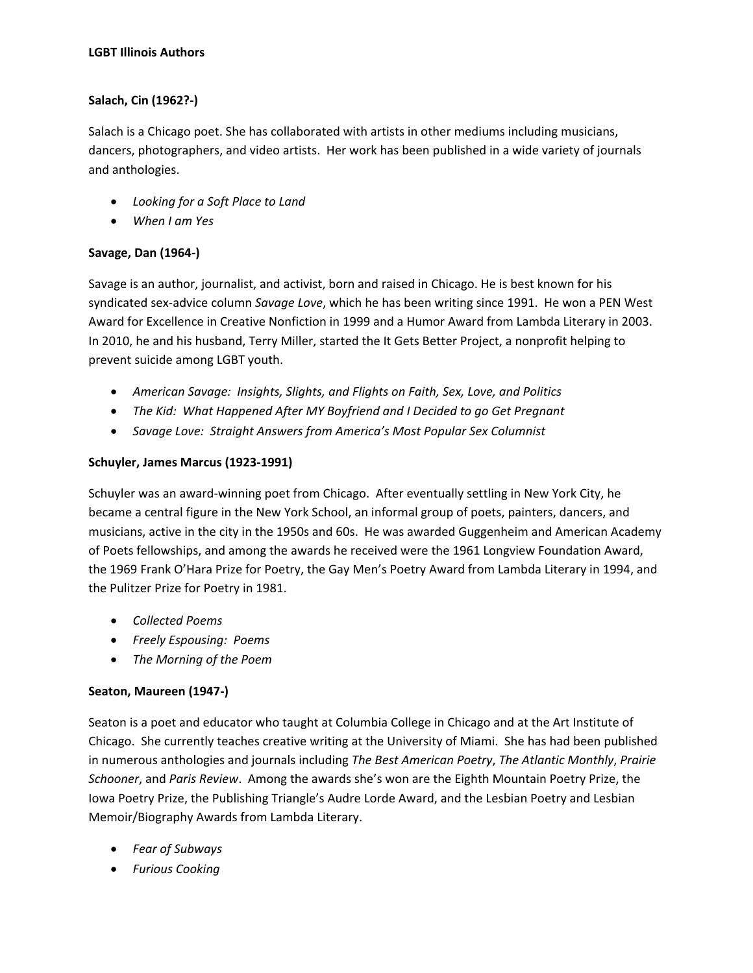## **Salach, Cin (1962?-)**

Salach is a Chicago poet. She has collaborated with artists in other mediums including musicians, dancers, photographers, and video artists. Her work has been published in a wide variety of journals and anthologies.

- *Looking for a Soft Place to Land*
- *When I am Yes*

## **Savage, Dan (1964-)**

Savage is an author, journalist, and activist, born and raised in Chicago. He is best known for his syndicated sex-advice column *Savage Love*, which he has been writing since 1991. He won a PEN West Award for Excellence in Creative Nonfiction in 1999 and a Humor Award from Lambda Literary in 2003. In 2010, he and his husband, Terry Miller, started the It Gets Better Project, a nonprofit helping to prevent suicide among LGBT youth.

- *American Savage: Insights, Slights, and Flights on Faith, Sex, Love, and Politics*
- *The Kid: What Happened After MY Boyfriend and I Decided to go Get Pregnant*
- *Savage Love: Straight Answers from America's Most Popular Sex Columnist*

## **Schuyler, James Marcus (1923-1991)**

Schuyler was an award-winning poet from Chicago. After eventually settling in New York City, he became a central figure in the New York School, an informal group of poets, painters, dancers, and musicians, active in the city in the 1950s and 60s. He was awarded Guggenheim and American Academy of Poets fellowships, and among the awards he received were the 1961 Longview Foundation Award, the 1969 Frank O'Hara Prize for Poetry, the Gay Men's Poetry Award from Lambda Literary in 1994, and the Pulitzer Prize for Poetry in 1981.

- *Collected Poems*
- *Freely Espousing: Poems*
- *The Morning of the Poem*

## **Seaton, Maureen (1947-)**

Seaton is a poet and educator who taught at Columbia College in Chicago and at the Art Institute of Chicago. She currently teaches creative writing at the University of Miami. She has had been published in numerous anthologies and journals including *The Best American Poetry*, *The Atlantic Monthly*, *Prairie Schooner*, and *Paris Review*. Among the awards she's won are the Eighth Mountain Poetry Prize, the Iowa Poetry Prize, the Publishing Triangle's Audre Lorde Award, and the Lesbian Poetry and Lesbian Memoir/Biography Awards from Lambda Literary.

- *Fear of Subways*
- *Furious Cooking*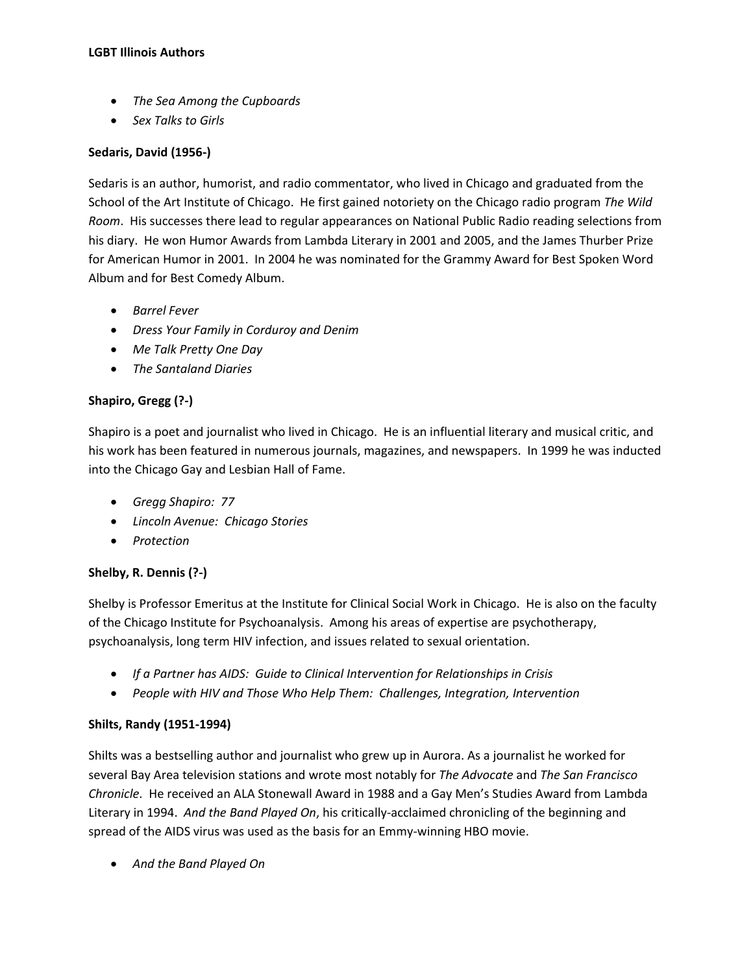- *The Sea Among the Cupboards*
- *Sex Talks to Girls*

#### **Sedaris, David (1956-)**

Sedaris is an author, humorist, and radio commentator, who lived in Chicago and graduated from the School of the Art Institute of Chicago. He first gained notoriety on the Chicago radio program *The Wild Room*. His successes there lead to regular appearances on National Public Radio reading selections from his diary. He won Humor Awards from Lambda Literary in 2001 and 2005, and the James Thurber Prize for American Humor in 2001. In 2004 he was nominated for the Grammy Award for Best Spoken Word Album and for Best Comedy Album.

- *Barrel Fever*
- *Dress Your Family in Corduroy and Denim*
- *Me Talk Pretty One Day*
- *The Santaland Diaries*

## **Shapiro, Gregg (?-)**

Shapiro is a poet and journalist who lived in Chicago. He is an influential literary and musical critic, and his work has been featured in numerous journals, magazines, and newspapers. In 1999 he was inducted into the Chicago Gay and Lesbian Hall of Fame.

- *Gregg Shapiro: 77*
- *Lincoln Avenue: Chicago Stories*
- *Protection*

## **Shelby, R. Dennis (?-)**

Shelby is Professor Emeritus at the Institute for Clinical Social Work in Chicago. He is also on the faculty of the Chicago Institute for Psychoanalysis. Among his areas of expertise are psychotherapy, psychoanalysis, long term HIV infection, and issues related to sexual orientation.

- *If a Partner has AIDS: Guide to Clinical Intervention for Relationships in Crisis*
- *People with HIV and Those Who Help Them: Challenges, Integration, Intervention*

#### **Shilts, Randy (1951-1994)**

Shilts was a bestselling author and journalist who grew up in Aurora. As a journalist he worked for several Bay Area television stations and wrote most notably for *The Advocate* and *The San Francisco Chronicle*. He received an ALA Stonewall Award in 1988 and a Gay Men's Studies Award from Lambda Literary in 1994. *And the Band Played On*, his critically-acclaimed chronicling of the beginning and spread of the AIDS virus was used as the basis for an Emmy-winning HBO movie.

• *And the Band Played On*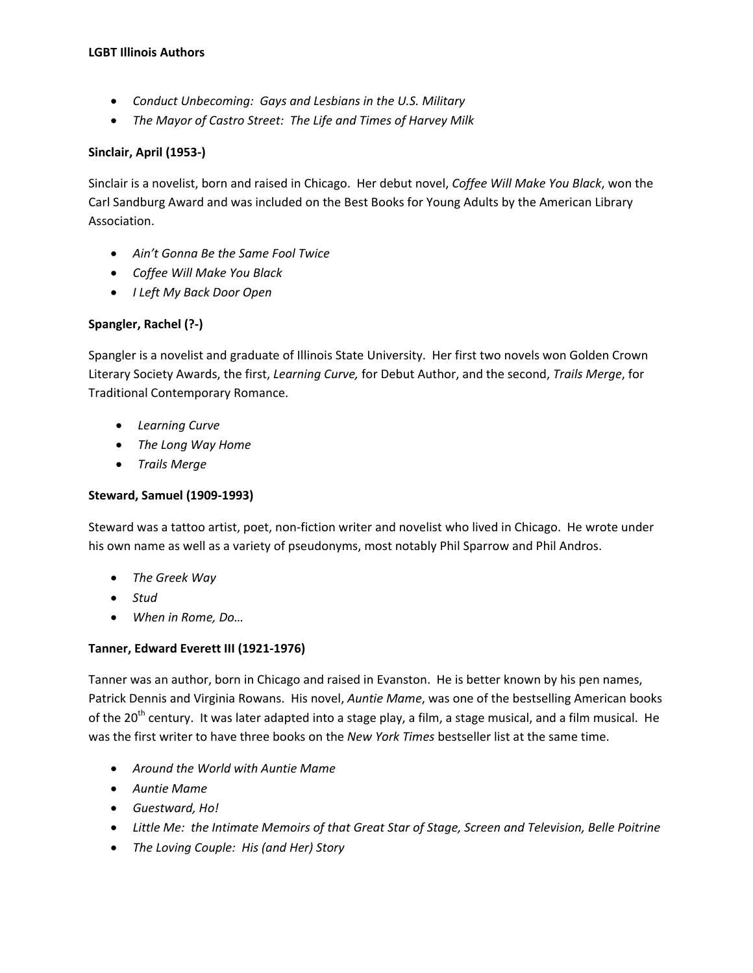- *Conduct Unbecoming: Gays and Lesbians in the U.S. Military*
- *The Mayor of Castro Street: The Life and Times of Harvey Milk*

#### **Sinclair, April (1953-)**

Sinclair is a novelist, born and raised in Chicago. Her debut novel, *Coffee Will Make You Black*, won the Carl Sandburg Award and was included on the Best Books for Young Adults by the American Library Association.

- *Ain't Gonna Be the Same Fool Twice*
- *Coffee Will Make You Black*
- *I Left My Back Door Open*

#### **Spangler, Rachel (?-)**

Spangler is a novelist and graduate of Illinois State University. Her first two novels won Golden Crown Literary Society Awards, the first, *Learning Curve,* for Debut Author, and the second, *Trails Merge*, for Traditional Contemporary Romance.

- *Learning Curve*
- *The Long Way Home*
- *Trails Merge*

## **Steward, Samuel (1909-1993)**

Steward was a tattoo artist, poet, non-fiction writer and novelist who lived in Chicago. He wrote under his own name as well as a variety of pseudonyms, most notably Phil Sparrow and Phil Andros.

- *The Greek Way*
- *Stud*
- *When in Rome, Do…*

## **Tanner, Edward Everett III (1921-1976)**

Tanner was an author, born in Chicago and raised in Evanston. He is better known by his pen names, Patrick Dennis and Virginia Rowans. His novel, *Auntie Mame*, was one of the bestselling American books of the 20<sup>th</sup> century. It was later adapted into a stage play, a film, a stage musical, and a film musical. He was the first writer to have three books on the *New York Times* bestseller list at the same time.

- *Around the World with Auntie Mame*
- *Auntie Mame*
- *Guestward, Ho!*
- *Little Me: the Intimate Memoirs of that Great Star of Stage, Screen and Television, Belle Poitrine*
- *The Loving Couple: His (and Her) Story*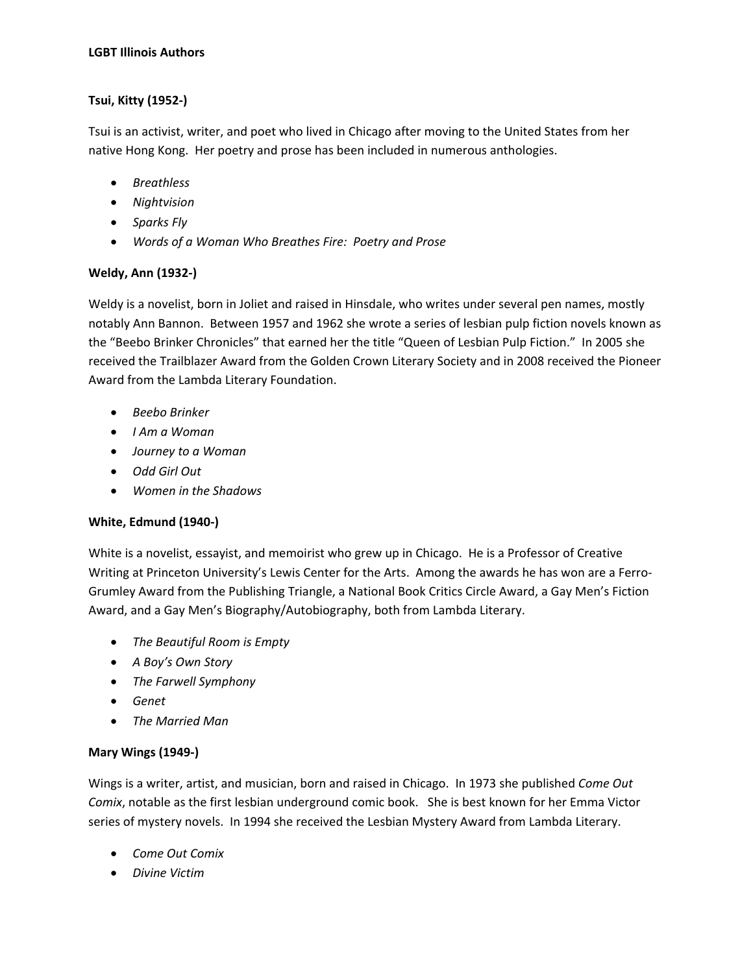# **Tsui, Kitty (1952-)**

Tsui is an activist, writer, and poet who lived in Chicago after moving to the United States from her native Hong Kong. Her poetry and prose has been included in numerous anthologies.

- *Breathless*
- *Nightvision*
- *Sparks Fly*
- *Words of a Woman Who Breathes Fire: Poetry and Prose*

## **Weldy, Ann (1932-)**

Weldy is a novelist, born in Joliet and raised in Hinsdale, who writes under several pen names, mostly notably Ann Bannon. Between 1957 and 1962 she wrote a series of lesbian pulp fiction novels known as the "Beebo Brinker Chronicles" that earned her the title "Queen of Lesbian Pulp Fiction." In 2005 she received the Trailblazer Award from the Golden Crown Literary Society and in 2008 received the Pioneer Award from the Lambda Literary Foundation.

- *Beebo Brinker*
- *I Am a Woman*
- *Journey to a Woman*
- *Odd Girl Out*
- *Women in the Shadows*

## **White, Edmund (1940-)**

White is a novelist, essayist, and memoirist who grew up in Chicago. He is a Professor of Creative Writing at Princeton University's Lewis Center for the Arts. Among the awards he has won are a Ferro-Grumley Award from the Publishing Triangle, a National Book Critics Circle Award, a Gay Men's Fiction Award, and a Gay Men's Biography/Autobiography, both from Lambda Literary.

- *The Beautiful Room is Empty*
- *A Boy's Own Story*
- *The Farwell Symphony*
- *Genet*
- *The Married Man*

## **Mary Wings (1949-)**

Wings is a writer, artist, and musician, born and raised in Chicago. In 1973 she published *Come Out Comix*, notable as the first lesbian underground comic book. She is best known for her Emma Victor series of mystery novels. In 1994 she received the Lesbian Mystery Award from Lambda Literary.

- *Come Out Comix*
- *Divine Victim*